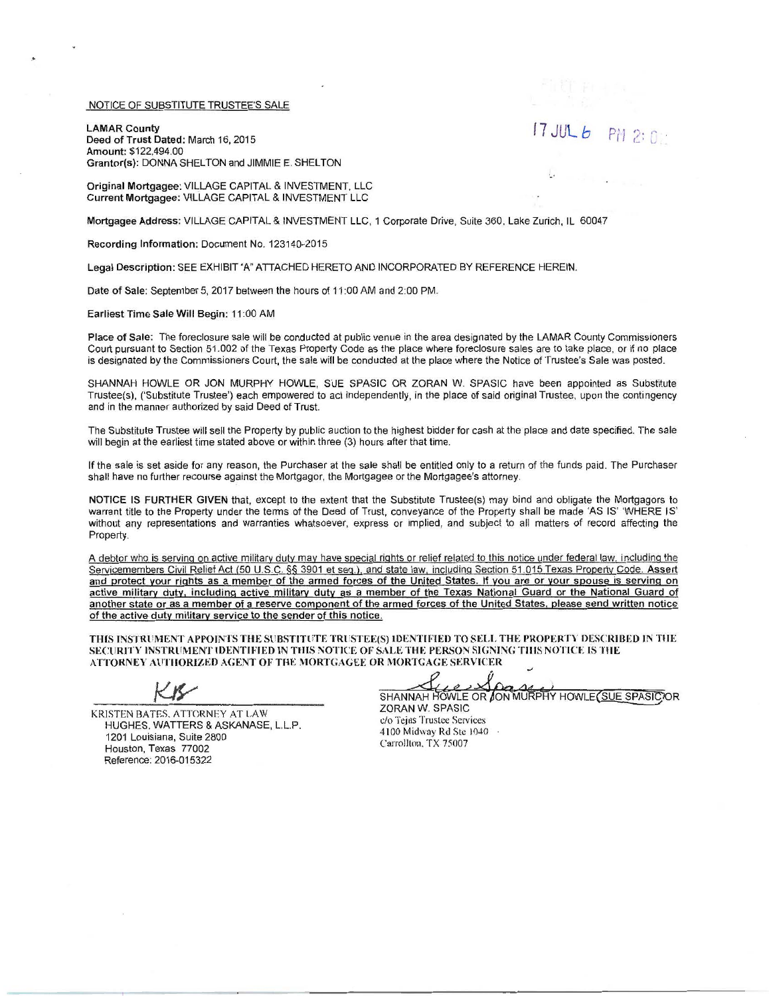## NOTICE OF SUBSTITUTE TRUSTEE'S SALE

.

LAMAR County Deed of Trust Dated: March 16, 2015 Amount: \$122,494.00 Grantor(s): DONNA SHELTON and JIMMIE E. SHELTON  $17$  JUL  $6$  PM 2: 0:

Original Mortgagee: VILLAGE CAPITAL & INVESTMENT, LLC Current Mortgagee: VILLAGE CAPITAL & INVESTMENT LLC

Mortgagee Address: VILLAGE CAPITAL & INVESTMENT LLC , 1 Corporate Drive, Suite 360, Lake Zurich, IL 60047

Recording Information: Document No. 123140-2015

Legal Description: SEE EXHIBIT "A" ATTACHED HERETO AND INCORPORATED BY REFERENCE HEREIN.

Date of Sale: September 5, 2017 between the hours of 11 :00 AM and 2:00 PM.

Earliest Time Sale Will Begin: 11 :00 AM

Place of Sale: The foreclosure sale will be conducted at public venue in the area designated by the LAMAR County Commissioners Court pursuant to Section 51.002 of the Texas Property Code as the place where foreclosure sales are to take place, or if no place is designated by the Commissioners Court, the sale will be conducted at the place where the Notice of Trustee's Sale was posted.

SHANNAH HOWLE OR JON MURPHY HOWLE, SUE SPASIC OR ZORAN W. SPASIC have been appointed as Substitute Trustee(s), ('Substitute Trustee') each empowered to act independently, in the place of said original Trustee, upon the contingency and in the manner authorized by said Deed of Trust.

The Substitute Trustee will sell the Property by public auction to the highest bidder for cash at the place and date specified. The sale will begin at the earliest time stated above or within three (3) hours after that time.

If the sale is set aside for any reason, the Purchaser at the sale shall be entitled only to a return of the funds paid. The Purchaser shall have no further recourse against the Mortgagor, the Mortgagee or the Mortgagee's attorney.

NOTICE IS FURTHER GIVEN that, except to the extent that the Substitute Trustee(s) may bind and obligate the Mortgagors to warrant title to the Property under the terms of the Deed of Trust, conveyance of the Property shall be made 'AS IS' 'WHERE IS' without any representations and warranties whatsoever, express or implied, and subject to all matters of record affecting the Property.

A debtor who is serving on active military duty may have special rights or relief related to this notice under federal law, including the Servicemembers Civil Relief Act (50 U.S.C. §§ 3901 et seg.l. and state law. including Section 51 .015 Texas Property Code. Assert and protect your rights as a member of the armed forces of the United States. If you are or your spouse is serving on active military duty. including active military duty as a member of the Texas National Guard or the National Guard of another state or as a member of a reserve component of the armed forces of the United States. please send written notice of the active duty military service to the sender of this notice.

THIS INSTRUMENT APPOINTS THE SUBSTITUTE TRUSTEE(S) IDENTIFIED TO SELL THE PROPERTY DESCRIBED IN THE SECURITY INSTRUMENT IDENTIFIED IN THIS NOTICE OF SALE THE PERSON SIGNING TIUS NOTICE IS THE ATTORNEY AUTHORIZED AGENT OF THE MORTGAGEE OR MORTGAGE SERVICER

KRISTEN BATES, ATTORNEY AT LAW HUGHES, WATTERS & ASKANASE, L.l.P. 1201 Louisiana, Suite 2800 Houston, Texas 77002 Reference: 2016-015322

SHANNAH HOWLE OR JON MURPHY HOWLE (SUE SPASIC OR ZORAN W. SPASIC

c/o Tcjas Trustee Services 4100 Midway Rd Ste 1040 Carrollton. TX 75007